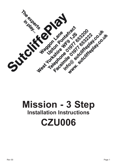

# **Mission - 3 Step Installation Instructions CZU006**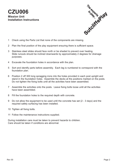### **CZU006 Mission Unit Installation Instructions**



- 1 Check using the Parts List that none of the components are missing.
- 2 Plan the final position of the play equipment ensuring there is sufficient space.
- 3 Stainless steel slides should face north or be shaded to prevent over heating. Slide runouts should be inclined downwards by approximately 2 degrees for drainage purposes.
- 4 Excavate the foundation holes in accordance with the plan.
- 5 Sort and identify parts before assembly. Each leg is numbered to correspond with the foundation plan.
- 6 Position 2 off 300 long spragging irons into the holes provided in each post upright and stand in the foundation holes. Assemble the decks at the positions marked on the posts. Do not tighten the fixing bolts until all the activities have been assembled.
- 7 Assemble the activities onto the posts. Leave fixing bolts loose until all the activities have been assembled.
- 8 Fill the foundation holes to the required depth with concrete.
- 9 Do not allow the equipment to be used until the concrete has set (2 3 days) and the required safety surfacing has been installed.
- 10 Tighten all fixing bolts.
- 11 Follow the maintenance instructions supplied.

During installation care must be taken to prevent hazards to children. Care should be taken if conditions are abnormal.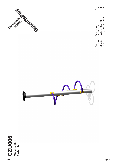



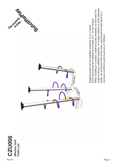